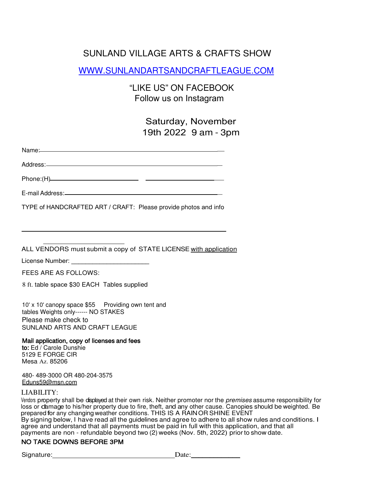# SUNLAND VILLAGE ARTS & CRAFTS SHOW

WWW.SUNLANDARTSANDCRAFTLEAGUE.COM

"LIKE US" ON FACEBOOK Follow us on Instagram

> Saturday, November 19th 2022 9 am - 3pm

> > $\mathbb{Z}$

 $\overline{a}$ 

| Name: |  |  |  |
|-------|--|--|--|
|       |  |  |  |

Address:

\_ Phone:(H)

E-mail Address:

TYPE of HANDCRAFTED ART / CRAFT: Please provide photos and info

ALL VENDORS must submit a copy of STATE LICENSE with application

License Number: \_\_\_\_\_\_\_\_\_\_\_\_\_\_\_\_\_\_\_\_\_\_

FEES ARE AS FOLLOWS:

8 ft. table space \$30 EACH Tables supplied

10' x 10' canopy space \$55 Providing own tent and tables Weights only------ NO STAKES Please make check to SUNLAND ARTS AND CRAFT LEAGUE

#### Mail application, copy of licenses and fees

to: Ed / Carole Dunshie 5129 E FORGE CIR Mesa Az. 85206

480- 489-3000 OR 480-204-3575 Eduns59@msn.com

#### LIABILITY:

Vendors property shall be displayed at their own risk. Neither promoter nor the premises assume responsibility for loss or damage to his/her property due to fire, theft, and any other cause. Canopies should be weighted. Be prepared for any changing weather conditions. THIS IS A RAINOR SHINE EVENT By signing below, I have read all the guidelines and agree to adhere to all show rules and conditions. I agree and understand that all payments must be paid in full with this application, and that all payments are non - refundable beyond two (2) weeks (Nov. 5th, 2022) prior to show date.

#### NO TAKE DOWNS BEFORE 3PM

Signature: Date: